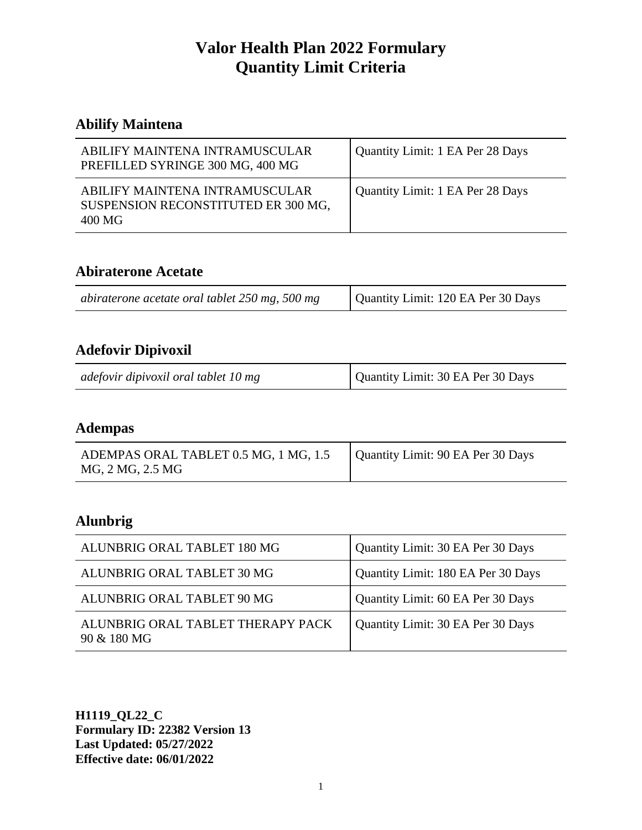## **Abilify Maintena**

| ABILIFY MAINTENA INTRAMUSCULAR<br>PREFILLED SYRINGE 300 MG, 400 MG              | Quantity Limit: 1 EA Per 28 Days |
|---------------------------------------------------------------------------------|----------------------------------|
| ABILIFY MAINTENA INTRAMUSCULAR<br>SUSPENSION RECONSTITUTED ER 300 MG,<br>400 MG | Quantity Limit: 1 EA Per 28 Days |

#### **Abiraterone Acetate**

| abiraterone acetate oral tablet 250 mg, 500 mg | Quantity Limit: 120 EA Per 30 Days |
|------------------------------------------------|------------------------------------|
|------------------------------------------------|------------------------------------|

## **Adefovir Dipivoxil**

|--|

#### **Adempas**

| ADEMPAS ORAL TABLET 0.5 MG, 1 MG, 1.5 | Quantity Limit: 90 EA Per 30 Days |
|---------------------------------------|-----------------------------------|
| MG, 2 MG, 2.5 MG                      |                                   |

## **Alunbrig**

| ALUNBRIG ORAL TABLET 180 MG                      | Quantity Limit: 30 EA Per 30 Days  |
|--------------------------------------------------|------------------------------------|
| ALUNBRIG ORAL TABLET 30 MG                       | Quantity Limit: 180 EA Per 30 Days |
| ALUNBRIG ORAL TABLET 90 MG                       | Quantity Limit: 60 EA Per 30 Days  |
| ALUNBRIG ORAL TABLET THERAPY PACK<br>90 & 180 MG | Quantity Limit: 30 EA Per 30 Days  |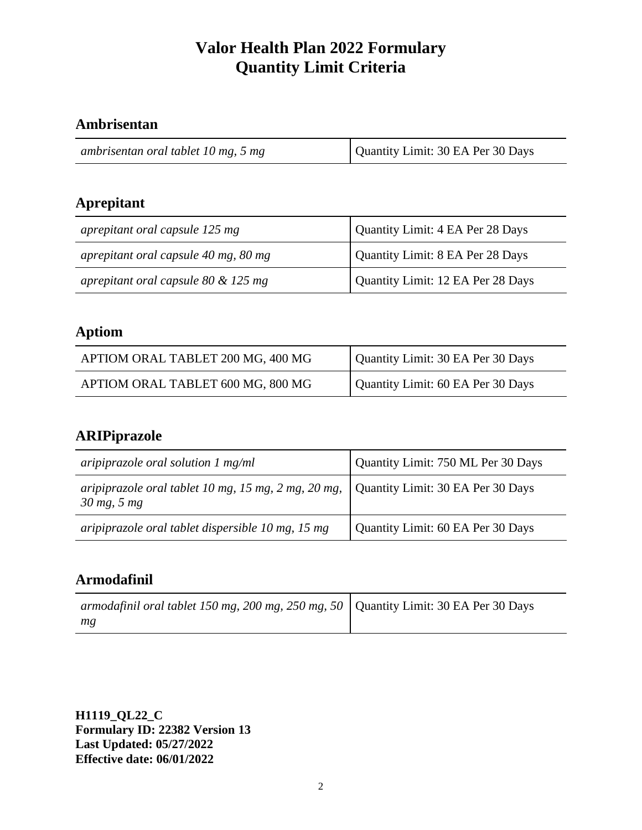## **Ambrisentan**

| Quantity Limit: 30 EA Per 30 Days<br>ambrisentan oral tablet 10 mg, 5 mg |
|--------------------------------------------------------------------------|
|--------------------------------------------------------------------------|

## **Aprepitant**

| aprepitant oral capsule 125 mg        | Quantity Limit: 4 EA Per 28 Days  |
|---------------------------------------|-----------------------------------|
| aprepitant oral capsule 40 mg, 80 mg  | Quantity Limit: 8 EA Per 28 Days  |
| aprepitant oral capsule 80 $&$ 125 mg | Quantity Limit: 12 EA Per 28 Days |

## **Aptiom**

| APTIOM ORAL TABLET 200 MG, 400 MG | Quantity Limit: 30 EA Per 30 Days |
|-----------------------------------|-----------------------------------|
| APTIOM ORAL TABLET 600 MG, 800 MG | Quantity Limit: 60 EA Per 30 Days |

## **ARIPiprazole**

| aripiprazole oral solution $1 \text{ mg/ml}$                                          | Quantity Limit: 750 ML Per 30 Days |
|---------------------------------------------------------------------------------------|------------------------------------|
| aripiprazole oral tablet 10 mg, 15 mg, 2 mg, 20 mg, $\vert$<br>$30 \text{ mg}$ , 5 mg | Quantity Limit: 30 EA Per 30 Days  |
| aripiprazole oral tablet dispersible 10 mg, 15 mg                                     | Quantity Limit: 60 EA Per 30 Days  |

## **Armodafinil**

| armodafinil oral tablet 150 mg, 200 mg, 250 mg, 50   Quantity Limit: 30 EA Per 30 Days |  |
|----------------------------------------------------------------------------------------|--|
| mg                                                                                     |  |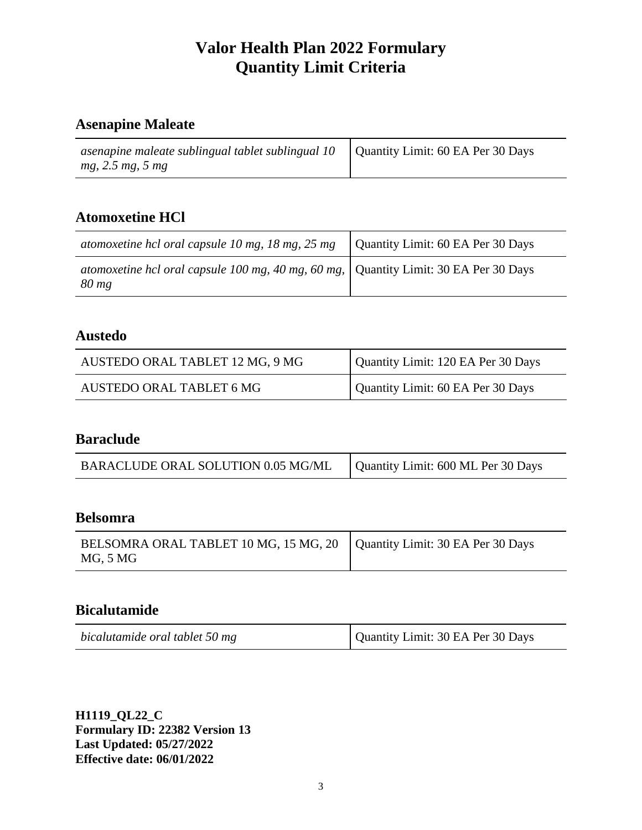## **Asenapine Maleate**

| asenapine maleate sublingual tablet sublingual $10$ Quantity Limit: 60 EA Per 30 Days |  |
|---------------------------------------------------------------------------------------|--|
| mg, 2.5 mg, 5 mg                                                                      |  |

## **Atomoxetine HCl**

| atomoxetine hcl oral capsule 10 mg, 18 mg, 25 mg $\vert$ Quantity Limit: 60 EA Per 30 Days      |  |
|-------------------------------------------------------------------------------------------------|--|
| atomoxetine hcl oral capsule 100 mg, 40 mg, 60 mg, Quantity Limit: 30 EA Per 30 Days<br>$80$ mg |  |

### **Austedo**

| AUSTEDO ORAL TABLET 12 MG, 9 MG | Quantity Limit: 120 EA Per 30 Days |
|---------------------------------|------------------------------------|
| AUSTEDO ORAL TABLET 6 MG        | Quantity Limit: 60 EA Per 30 Days  |

#### **Baraclude**

| BARACLUDE ORAL SOLUTION 0.05 MG/ML | Quantity Limit: 600 ML Per 30 Days |
|------------------------------------|------------------------------------|
|------------------------------------|------------------------------------|

#### **Belsomra**

| BELSOMRA ORAL TABLET 10 MG, 15 MG, 20   Quantity Limit: 30 EA Per 30 Days<br>MG, 5 MG |  |
|---------------------------------------------------------------------------------------|--|
|---------------------------------------------------------------------------------------|--|

#### **Bicalutamide**

| Quantity Limit: 30 EA Per 30 Days<br>bicalutamide oral tablet 50 mg |  |
|---------------------------------------------------------------------|--|
|---------------------------------------------------------------------|--|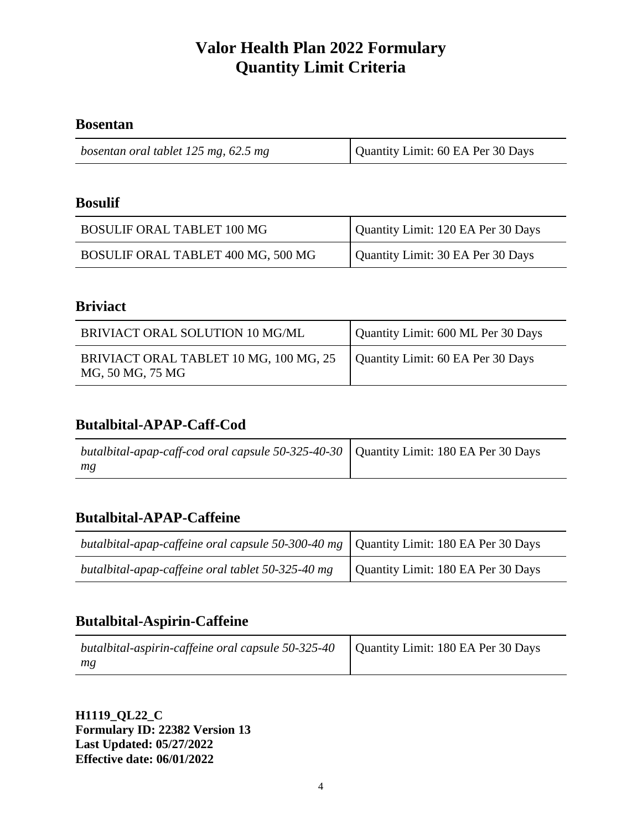#### **Bosentan**

#### **Bosulif**

| <b>BOSULIF ORAL TABLET 100 MG</b>  | Quantity Limit: 120 EA Per 30 Days |
|------------------------------------|------------------------------------|
| BOSULIF ORAL TABLET 400 MG, 500 MG | Quantity Limit: 30 EA Per 30 Days  |

#### **Briviact**

| BRIVIACT ORAL SOLUTION 10 MG/ML                            | Quantity Limit: 600 ML Per 30 Days |
|------------------------------------------------------------|------------------------------------|
| BRIVIACT ORAL TABLET 10 MG, 100 MG, 25<br>MG, 50 MG, 75 MG | Quantity Limit: 60 EA Per 30 Days  |

#### **Butalbital-APAP-Caff-Cod**

| butalbital-apap-caff-cod oral capsule 50-325-40-30   Quantity Limit: 180 EA Per 30 Days |  |
|-----------------------------------------------------------------------------------------|--|
| mg                                                                                      |  |

## **Butalbital-APAP-Caffeine**

| <i>butalbital-apap-caffeine oral capsule 50-300-40 mg</i> $\vert$ Quantity Limit: 180 EA Per 30 Days |                                    |
|------------------------------------------------------------------------------------------------------|------------------------------------|
| butalbital-apap-caffeine oral tablet 50-325-40 mg                                                    | Quantity Limit: 180 EA Per 30 Days |

### **Butalbital-Aspirin-Caffeine**

| butalbital-aspirin-caffeine oral capsule $50-325-40$ Quantity Limit: 180 EA Per 30 Days |  |
|-----------------------------------------------------------------------------------------|--|
| mg                                                                                      |  |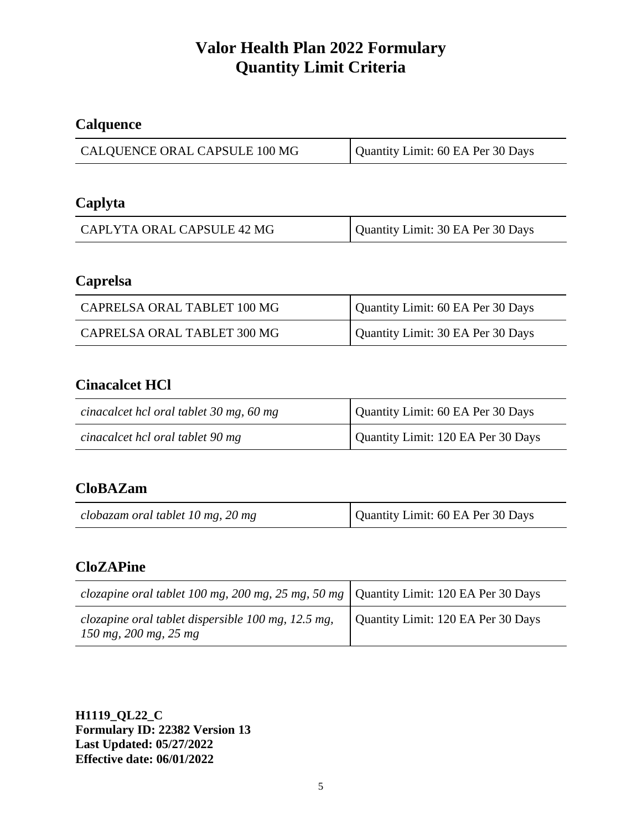## **Calquence**

| Quantity Limit: 60 EA Per 30 Days |
|-----------------------------------|
|                                   |

## **Caplyta**

| CAPLYTA ORAL CAPSULE 42 MG | Quantity Limit: 30 EA Per 30 Days |
|----------------------------|-----------------------------------|
|                            |                                   |

### **Caprelsa**

| CAPRELSA ORAL TABLET 100 MG | Quantity Limit: 60 EA Per 30 Days |
|-----------------------------|-----------------------------------|
| CAPRELSA ORAL TABLET 300 MG | Quantity Limit: 30 EA Per 30 Days |

## **Cinacalcet HCl**

| cinacalcet hcl oral tablet 30 mg, 60 mg | Quantity Limit: 60 EA Per 30 Days  |
|-----------------------------------------|------------------------------------|
| cinacalcet hcl oral tablet 90 mg        | Quantity Limit: 120 EA Per 30 Days |

## **CloBAZam**

| Quantity Limit: 60 EA Per 30 Days<br>clobazam oral tablet 10 mg, 20 mg |
|------------------------------------------------------------------------|
|------------------------------------------------------------------------|

## **CloZAPine**

| <i>clozapine oral tablet 100 mg, 200 mg, 25 mg, 50 mg</i>   Quantity Limit: 120 EA Per 30 Days |                                    |
|------------------------------------------------------------------------------------------------|------------------------------------|
| clozapine oral tablet dispersible $100$ mg, $12.5$ mg,<br>$150$ mg, $200$ mg, $25$ mg          | Quantity Limit: 120 EA Per 30 Days |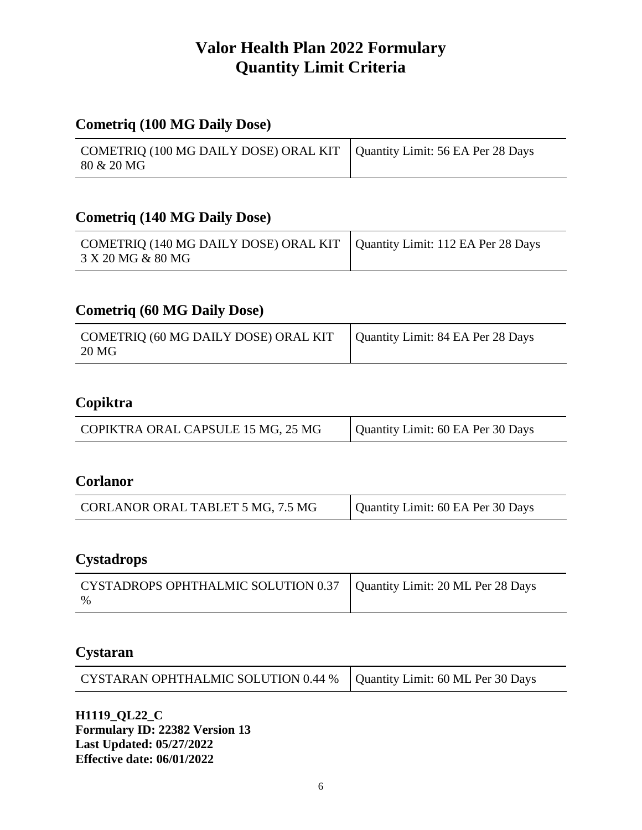## **Cometriq (100 MG Daily Dose)**

| COMETRIQ (100 MG DAILY DOSE) ORAL KIT   Quantity Limit: 56 EA Per 28 Days |  |
|---------------------------------------------------------------------------|--|
| 80 & 20 MG                                                                |  |

#### **Cometriq (140 MG Daily Dose)**

| COMETRIQ (140 MG DAILY DOSE) ORAL KIT   Quantity Limit: 112 EA Per 28 Days |  |
|----------------------------------------------------------------------------|--|
| 3 X 20 MG & 80 MG                                                          |  |

### **Cometriq (60 MG Daily Dose)**

| COMETRIQ (60 MG DAILY DOSE) ORAL KIT   Quantity Limit: 84 EA Per 28 Days<br>20 MG |  |
|-----------------------------------------------------------------------------------|--|

## **Copiktra**

| COPIKTRA ORAL CAPSULE 15 MG, 25 MG | Quantity Limit: 60 EA Per 30 Days |
|------------------------------------|-----------------------------------|
|------------------------------------|-----------------------------------|

#### **Corlanor**

| Quantity Limit: 60 EA Per 30 Days<br>CORLANOR ORAL TABLET 5 MG, 7.5 MG |
|------------------------------------------------------------------------|
|------------------------------------------------------------------------|

#### **Cystadrops**

| CYSTADROPS OPHTHALMIC SOLUTION 0.37   Quantity Limit: 20 ML Per 28 Days |  |
|-------------------------------------------------------------------------|--|
| $\frac{0}{6}$                                                           |  |

## **Cystaran**

| CYSTARAN OPHTHALMIC SOLUTION 0.44 %   Quantity Limit: 60 ML Per 30 Days |  |
|-------------------------------------------------------------------------|--|
|-------------------------------------------------------------------------|--|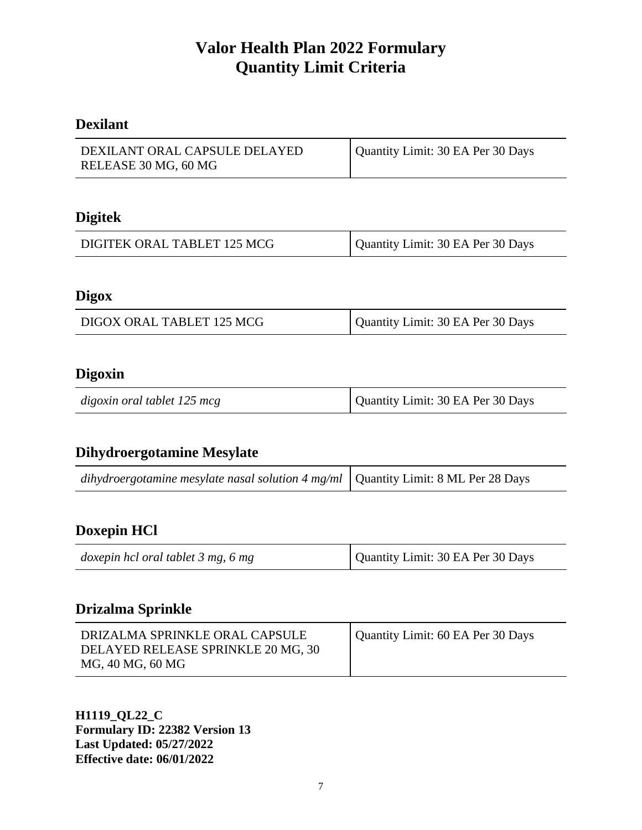### **Dexilant**

| DEXILANT ORAL CAPSULE DELAYED | Quantity Limit: 30 EA Per 30 Days |
|-------------------------------|-----------------------------------|
| RELEASE 30 MG, 60 MG          |                                   |

#### **Digitek**

| DIGITEK ORAL TABLET 125 MCG | Quantity Limit: 30 EA Per 30 Days |
|-----------------------------|-----------------------------------|
|-----------------------------|-----------------------------------|

#### **Digox**

| DIGOX ORAL TABLET 125 MCG | Quantity Limit: 30 EA Per 30 Days |
|---------------------------|-----------------------------------|
|                           |                                   |

#### **Digoxin**

| digoxin oral tablet 125 mcg | Quantity Limit: 30 EA Per 30 Days |
|-----------------------------|-----------------------------------|
|-----------------------------|-----------------------------------|

#### **Dihydroergotamine Mesylate**

| dihydroergotamine mesylate nasal solution 4 mg/ml $\vert$ Quantity Limit: 8 ML Per 28 Days |  |
|--------------------------------------------------------------------------------------------|--|
|--------------------------------------------------------------------------------------------|--|

#### **Doxepin HCl**

| doxepin hcl oral tablet 3 mg, 6 mg | Quantity Limit: 30 EA Per 30 Days |
|------------------------------------|-----------------------------------|
|------------------------------------|-----------------------------------|

#### **Drizalma Sprinkle**

| DRIZALMA SPRINKLE ORAL CAPSULE     | Quantity Limit: 60 EA Per 30 Days |
|------------------------------------|-----------------------------------|
| DELAYED RELEASE SPRINKLE 20 MG, 30 |                                   |
| MG, 40 MG, 60 MG                   |                                   |
|                                    |                                   |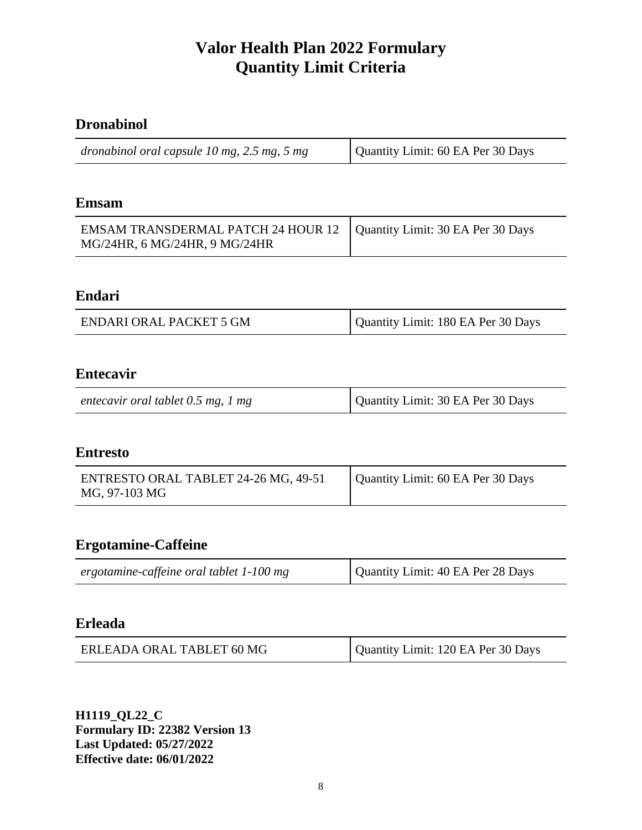## **Dronabinol**

| dronabinol oral capsule $10$ mg, $2.5$ mg, $5$ mg | Quantity Limit: 60 EA Per 30 Days |
|---------------------------------------------------|-----------------------------------|
|---------------------------------------------------|-----------------------------------|

#### **Emsam**

| EMSAM TRANSDERMAL PATCH 24 HOUR 12   Quantity Limit: 30 EA Per 30 Days |  |
|------------------------------------------------------------------------|--|
| MG/24HR, 6 MG/24HR, 9 MG/24HR                                          |  |

### **Endari**

| <b>ENDARI ORAL PACKET 5 GM</b> | Quantity Limit: 180 EA Per 30 Days |
|--------------------------------|------------------------------------|
|                                |                                    |

#### **Entecavir**

| entecavir oral tablet $0.5$ mg, 1 mg | Quantity Limit: 30 EA Per 30 Days |
|--------------------------------------|-----------------------------------|
|--------------------------------------|-----------------------------------|

#### **Entresto**

| ENTRESTO ORAL TABLET 24-26 MG, 49-51 | Quantity Limit: 60 EA Per 30 Days |
|--------------------------------------|-----------------------------------|
| MG, 97-103 MG                        |                                   |

## **Ergotamine-Caffeine**

#### **Erleada**

| ERLEADA ORAL TABLET 60 MG | Quantity Limit: 120 EA Per 30 Days |
|---------------------------|------------------------------------|
|---------------------------|------------------------------------|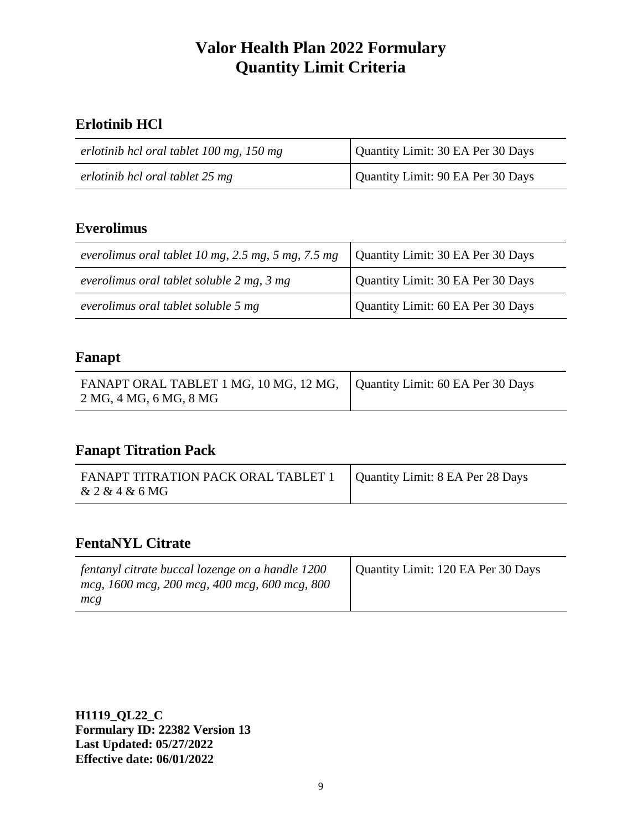## **Erlotinib HCl**

| erlotinib hcl oral tablet 100 mg, 150 mg | Quantity Limit: 30 EA Per 30 Days |
|------------------------------------------|-----------------------------------|
| erlotinib hcl oral tablet 25 mg          | Quantity Limit: 90 EA Per 30 Days |

## **Everolimus**

| everolimus oral tablet 10 mg, 2.5 mg, 5 mg, 7.5 mg | Quantity Limit: 30 EA Per 30 Days |
|----------------------------------------------------|-----------------------------------|
| everolimus oral tablet soluble 2 mg, 3 mg          | Quantity Limit: 30 EA Per 30 Days |
| everolimus oral tablet soluble 5 mg                | Quantity Limit: 60 EA Per 30 Days |

#### **Fanapt**

| FANAPT ORAL TABLET 1 MG, 10 MG, 12 MG,   Quantity Limit: 60 EA Per 30 Days<br>2 MG, 4 MG, 6 MG, 8 MG |  |
|------------------------------------------------------------------------------------------------------|--|

#### **Fanapt Titration Pack**

| FANAPT TITRATION PACK ORAL TABLET 1   Quantity Limit: 8 EA Per 28 Days |  |
|------------------------------------------------------------------------|--|
| & 2 & 4 & 6 MG                                                         |  |

## **FentaNYL Citrate**

| fentanyl citrate buccal lozenge on a handle 1200 | Quantity Limit: 120 EA Per 30 Days |
|--------------------------------------------------|------------------------------------|
| mcg, 1600 mcg, 200 mcg, 400 mcg, 600 mcg, 800    |                                    |
| mcg                                              |                                    |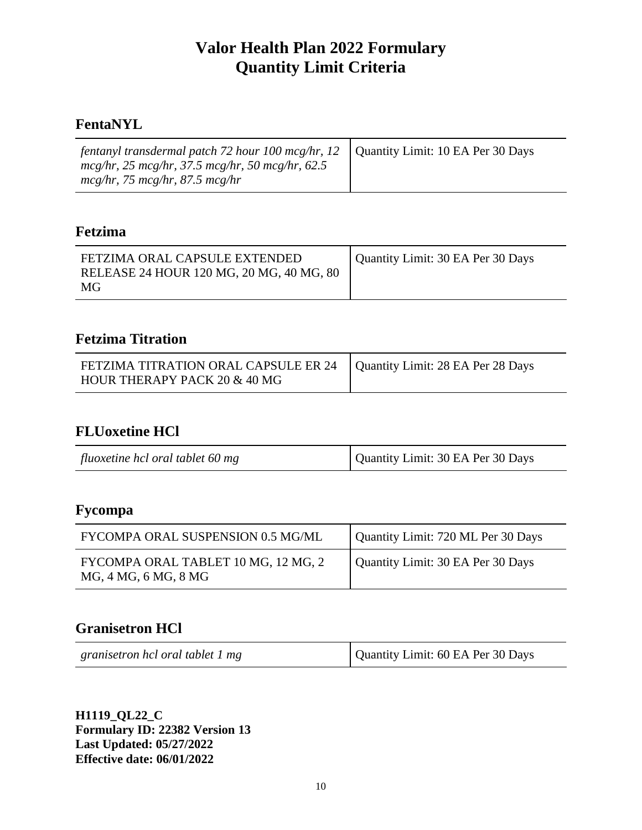### **FentaNYL**

| <i>fentanyl transdermal patch 72 hour 100 mcg/hr, 12</i>   Quantity Limit: 10 EA Per 30 Days |  |
|----------------------------------------------------------------------------------------------|--|
| $mcg/hr$ , 25 mcg/hr, 37.5 mcg/hr, 50 mcg/hr, 62.5                                           |  |
| $mcg/hr$ , 75 mcg/hr, 87.5 mcg/hr                                                            |  |

#### **Fetzima**

| FETZIMA ORAL CAPSULE EXTENDED            | Quantity Limit: 30 EA Per 30 Days |
|------------------------------------------|-----------------------------------|
| RELEASE 24 HOUR 120 MG, 20 MG, 40 MG, 80 |                                   |
| MG                                       |                                   |

## **Fetzima Titration**

| FETZIMA TITRATION ORAL CAPSULE ER 24   Quantity Limit: 28 EA Per 28 Days |  |
|--------------------------------------------------------------------------|--|
| HOUR THERAPY PACK 20 & 40 MG                                             |  |

## **FLUoxetine HCl**

| fluoxetine hcl oral tablet 60 mg | Quantity Limit: 30 EA Per 30 Days |
|----------------------------------|-----------------------------------|

## **Fycompa**

| FYCOMPA ORAL SUSPENSION 0.5 MG/ML                           | Quantity Limit: 720 ML Per 30 Days |
|-------------------------------------------------------------|------------------------------------|
| FYCOMPA ORAL TABLET 10 MG, 12 MG, 2<br>MG, 4 MG, 6 MG, 8 MG | Quantity Limit: 30 EA Per 30 Days  |

### **Granisetron HCl**

| granisetron hcl oral tablet 1 mg | Quantity Limit: 60 EA Per 30 Days |
|----------------------------------|-----------------------------------|
|                                  |                                   |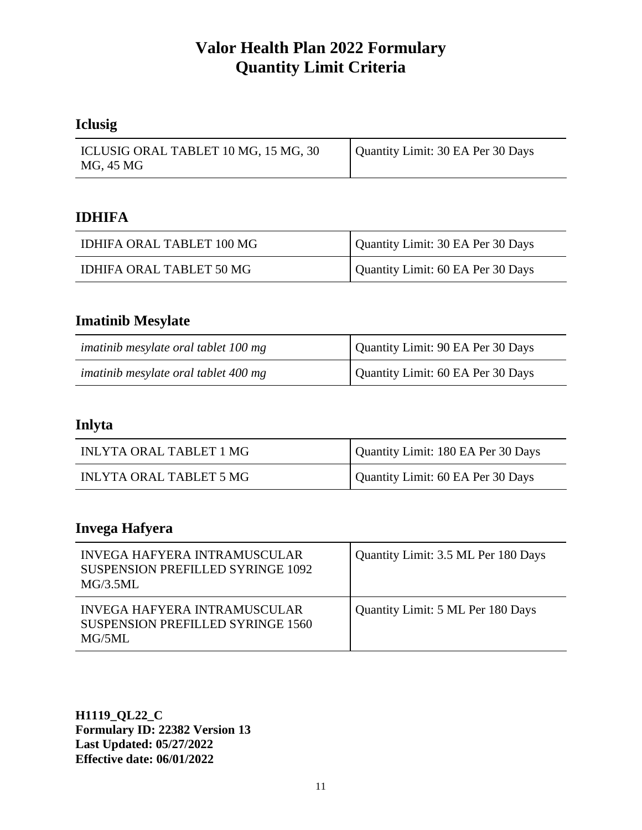## **Iclusig**

| ICLUSIG ORAL TABLET 10 MG, 15 MG, 30<br>MG, 45 MG | Quantity Limit: 30 EA Per 30 Days |
|---------------------------------------------------|-----------------------------------|
|                                                   |                                   |

#### **IDHIFA**

| <b>IDHIFA ORAL TABLET 100 MG</b> | Quantity Limit: 30 EA Per 30 Days |
|----------------------------------|-----------------------------------|
| IDHIFA ORAL TABLET 50 MG         | Quantity Limit: 60 EA Per 30 Days |

## **Imatinib Mesylate**

| imatinib mesylate oral tablet 100 mg | Quantity Limit: 90 EA Per 30 Days |
|--------------------------------------|-----------------------------------|
| imatinib mesylate oral tablet 400 mg | Quantity Limit: 60 EA Per 30 Days |

### **Inlyta**

| <b>INLYTA ORAL TABLET 1 MG</b> | Quantity Limit: 180 EA Per 30 Days |
|--------------------------------|------------------------------------|
| INLYTA ORAL TABLET 5 MG        | Quantity Limit: 60 EA Per 30 Days  |

## **Invega Hafyera**

| <b>INVEGA HAFYERA INTRAMUSCULAR</b><br><b>SUSPENSION PREFILLED SYRINGE 1092</b><br>MG/3.5ML | Quantity Limit: 3.5 ML Per 180 Days |
|---------------------------------------------------------------------------------------------|-------------------------------------|
| INVEGA HAFYERA INTRAMUSCULAR<br><b>SUSPENSION PREFILLED SYRINGE 1560</b><br>$MG/5MI$ .      | Quantity Limit: 5 ML Per 180 Days   |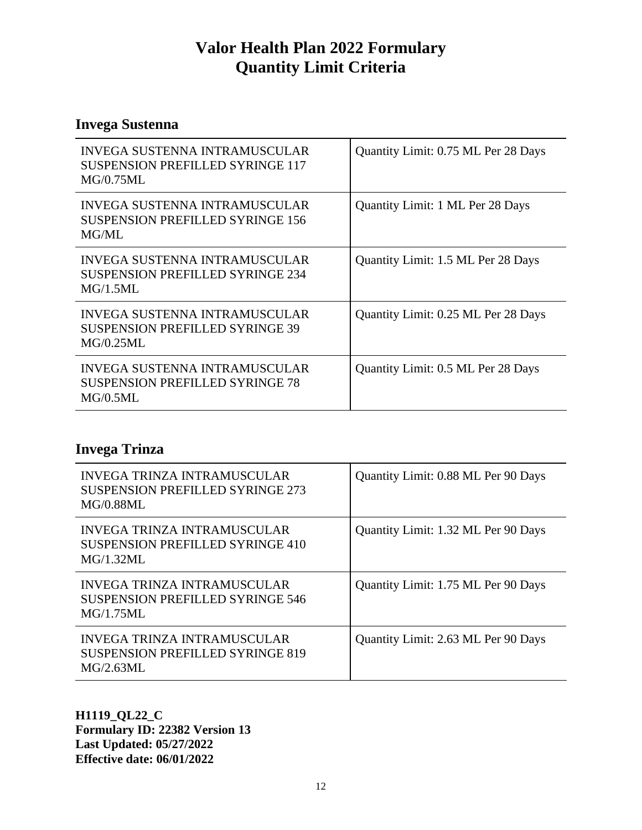## **Invega Sustenna**

| <b>INVEGA SUSTENNA INTRAMUSCULAR</b><br><b>SUSPENSION PREFILLED SYRINGE 117</b><br>MG/0.75ML | Quantity Limit: 0.75 ML Per 28 Days |
|----------------------------------------------------------------------------------------------|-------------------------------------|
| INVEGA SUSTENNA INTRAMUSCULAR<br><b>SUSPENSION PREFILLED SYRINGE 156</b><br>MG/ML            | Quantity Limit: 1 ML Per 28 Days    |
| INVEGA SUSTENNA INTRAMUSCULAR<br><b>SUSPENSION PREFILLED SYRINGE 234</b><br>MG/1.5ML         | Quantity Limit: 1.5 ML Per 28 Days  |
| INVEGA SUSTENNA INTRAMUSCULAR<br><b>SUSPENSION PREFILLED SYRINGE 39</b><br>MG/0.25ML         | Quantity Limit: 0.25 ML Per 28 Days |
| <b>INVEGA SUSTENNA INTRAMUSCULAR</b><br><b>SUSPENSION PREFILLED SYRINGE 78</b><br>MG/0.5ML   | Quantity Limit: 0.5 ML Per 28 Days  |

## **Invega Trinza**

| INVEGA TRINZA INTRAMUSCULAR<br><b>SUSPENSION PREFILLED SYRINGE 273</b><br><b>MG/0.88ML</b> | Quantity Limit: 0.88 ML Per 90 Days |
|--------------------------------------------------------------------------------------------|-------------------------------------|
| INVEGA TRINZA INTRAMUSCULAR<br>SUSPENSION PREFILLED SYRINGE 410<br>MG/1.32ML               | Quantity Limit: 1.32 ML Per 90 Days |
| INVEGA TRINZA INTRAMUSCULAR<br><b>SUSPENSION PREFILLED SYRINGE 546</b><br>MG/1.75ML        | Quantity Limit: 1.75 ML Per 90 Days |
| INVEGA TRINZA INTRAMUSCULAR<br><b>SUSPENSION PREFILLED SYRINGE 819</b><br>$MG/2.63MI$ .    | Quantity Limit: 2.63 ML Per 90 Days |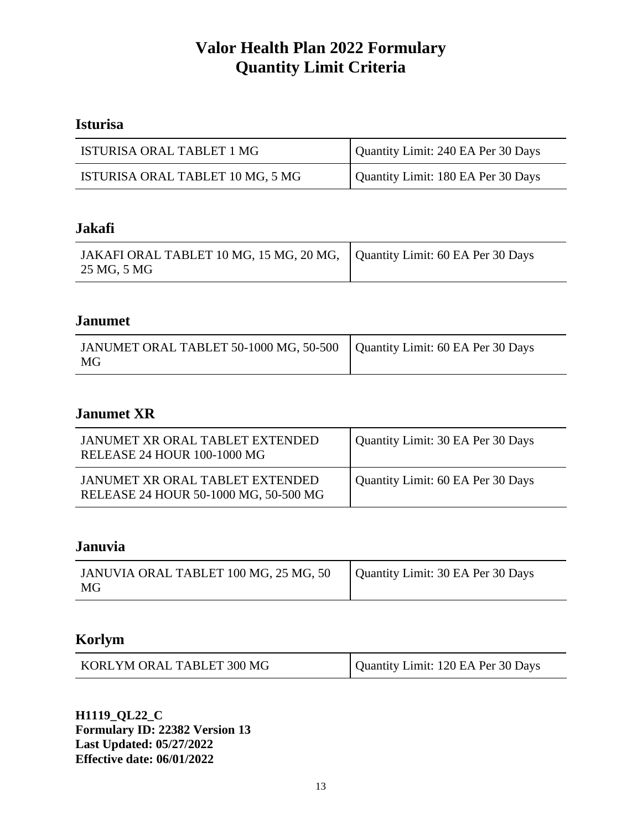## **Isturisa**

| ISTURISA ORAL TABLET 1 MG        | Quantity Limit: 240 EA Per 30 Days |
|----------------------------------|------------------------------------|
| ISTURISA ORAL TABLET 10 MG, 5 MG | Quantity Limit: 180 EA Per 30 Days |

#### **Jakafi**

| JAKAFI ORAL TABLET 10 MG, 15 MG, 20 MG, Quantity Limit: 60 EA Per 30 Days |  |
|---------------------------------------------------------------------------|--|
| 25 MG, 5 MG                                                               |  |

## **Janumet**

| JANUMET ORAL TABLET 50-1000 MG, 50-500   Quantity Limit: 60 EA Per 30 Days<br>MG |  |  |
|----------------------------------------------------------------------------------|--|--|
|----------------------------------------------------------------------------------|--|--|

## **Janumet XR**

| JANUMET XR ORAL TABLET EXTENDED<br>RELEASE 24 HOUR 100-1000 MG           | Quantity Limit: 30 EA Per 30 Days |
|--------------------------------------------------------------------------|-----------------------------------|
| JANUMET XR ORAL TABLET EXTENDED<br>RELEASE 24 HOUR 50-1000 MG, 50-500 MG | Quantity Limit: 60 EA Per 30 Days |

### **Januvia**

| JANUVIA ORAL TABLET 100 MG, 25 MG, 50<br>MG | Quantity Limit: 30 EA Per 30 Days |
|---------------------------------------------|-----------------------------------|
|---------------------------------------------|-----------------------------------|

### **Korlym**

| KORLYM ORAL TABLET 300 MG | Quantity Limit: 120 EA Per 30 Days |
|---------------------------|------------------------------------|
|---------------------------|------------------------------------|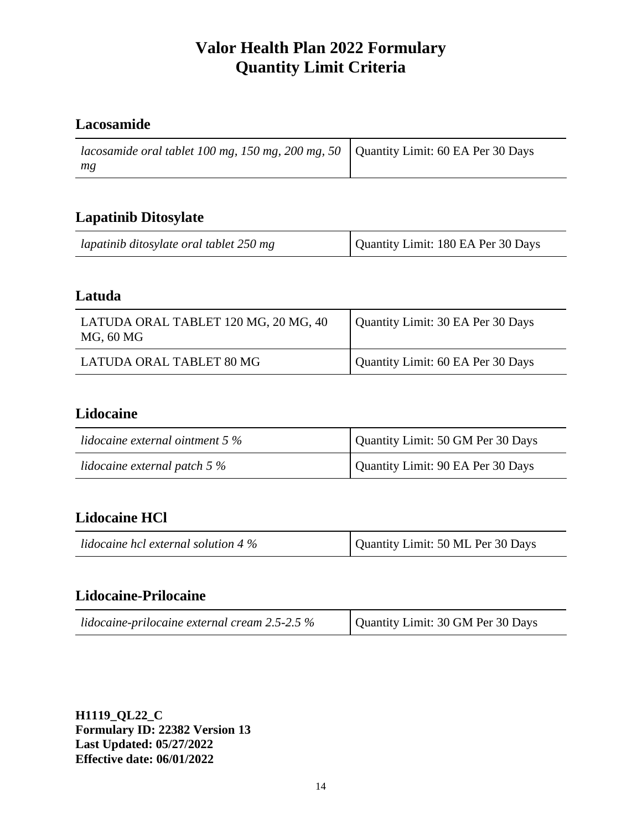## **Lacosamide**

| <i>lacosamide oral tablet 100 mg, 150 mg, 200 mg, 50</i>   Quantity Limit: 60 EA Per 30 Days |  |
|----------------------------------------------------------------------------------------------|--|
| mg                                                                                           |  |

### **Lapatinib Ditosylate**

| lapatinib ditosylate oral tablet 250 mg | Quantity Limit: 180 EA Per 30 Days |
|-----------------------------------------|------------------------------------|
|-----------------------------------------|------------------------------------|

#### **Latuda**

| LATUDA ORAL TABLET 120 MG, 20 MG, 40<br>MG, 60 MG | Quantity Limit: 30 EA Per 30 Days |
|---------------------------------------------------|-----------------------------------|
| LATUDA ORAL TABLET 80 MG                          | Quantity Limit: 60 EA Per 30 Days |

## **Lidocaine**

| lidocaine external ointment $5\%$ | Quantity Limit: 50 GM Per 30 Days |
|-----------------------------------|-----------------------------------|
| lidocaine external patch $5\%$    | Quantity Limit: 90 EA Per 30 Days |

## **Lidocaine HCl**

| Quantity Limit: 50 ML Per 30 Days<br>lidocaine hcl external solution 4 $\%$ |
|-----------------------------------------------------------------------------|
|-----------------------------------------------------------------------------|

## **Lidocaine-Prilocaine**

| lidocaine-prilocaine external cream $2.5$ -2.5 $\%$ | Quantity Limit: 30 GM Per 30 Days |
|-----------------------------------------------------|-----------------------------------|
|-----------------------------------------------------|-----------------------------------|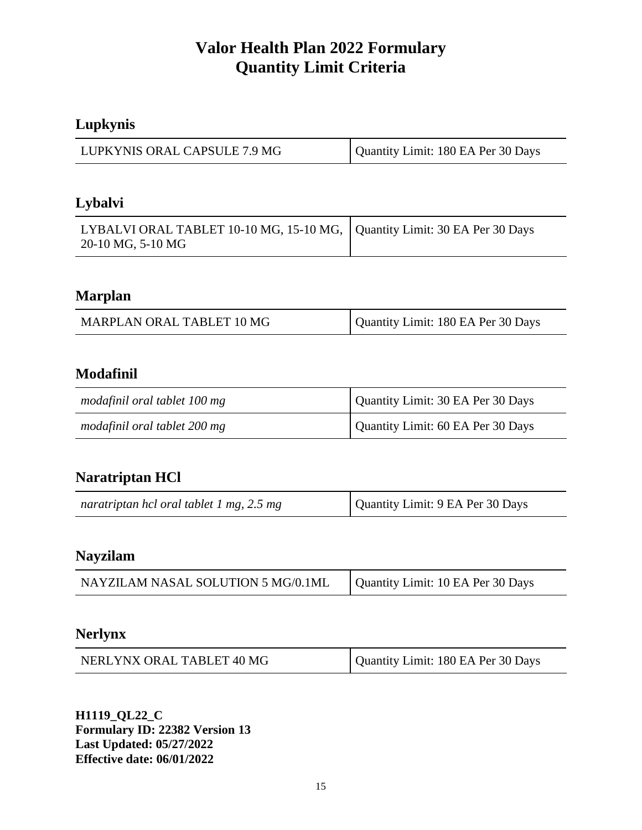## **Lupkynis**

| LUPKYNIS ORAL CAPSULE 7.9 MG | Quantity Limit: 180 EA Per 30 Days |
|------------------------------|------------------------------------|
|------------------------------|------------------------------------|

## **Lybalvi**

| LYBALVI ORAL TABLET 10-10 MG, 15-10 MG, Quantity Limit: 30 EA Per 30 Days |  |
|---------------------------------------------------------------------------|--|
| 20-10 MG, 5-10 MG                                                         |  |

### **Marplan**

| MARPLAN ORAL TABLET 10 MG | Quantity Limit: 180 EA Per 30 Days |
|---------------------------|------------------------------------|
|                           |                                    |

### **Modafinil**

| modafinil oral tablet 100 mg | Quantity Limit: 30 EA Per 30 Days |
|------------------------------|-----------------------------------|
| modafinil oral tablet 200 mg | Quantity Limit: 60 EA Per 30 Days |

## **Naratriptan HCl**

| Quantity Limit: 9 EA Per 30 Days<br>naratriptan hcl oral tablet 1 mg, 2.5 mg |  |
|------------------------------------------------------------------------------|--|
|------------------------------------------------------------------------------|--|

## **Nayzilam**

| NAYZILAM NASAL SOLUTION 5 MG/0.1ML | Quantity Limit: 10 EA Per 30 Days |
|------------------------------------|-----------------------------------|
|------------------------------------|-----------------------------------|

#### **Nerlynx**

| NERLYNX ORAL TABLET 40 MG | Quantity Limit: 180 EA Per 30 Days |
|---------------------------|------------------------------------|
|---------------------------|------------------------------------|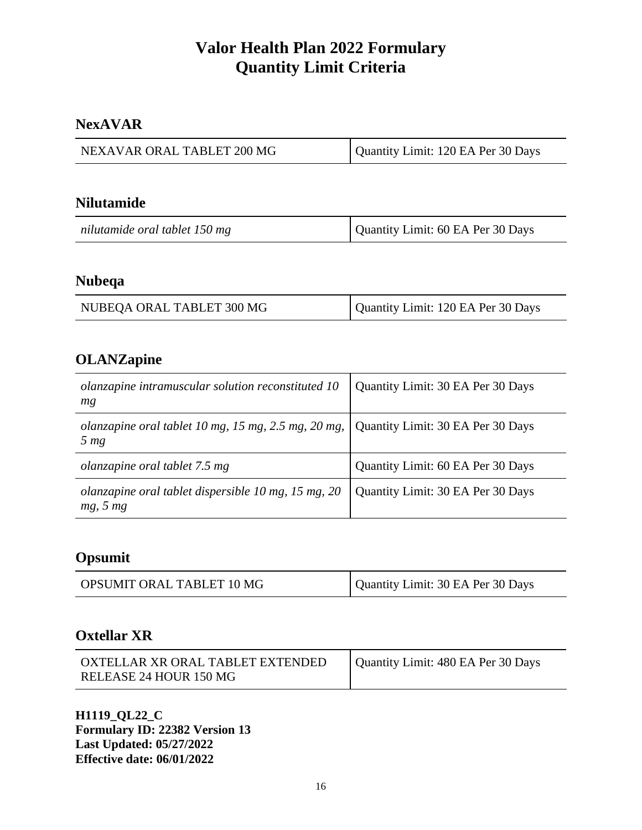### **NexAVAR**

| NEXAVAR ORAL TABLET 200 MG | Quantity Limit: 120 EA Per 30 Days |
|----------------------------|------------------------------------|

#### **Nilutamide**

| nilutamide oral tablet 150 mg | Quantity Limit: 60 EA Per 30 Days |
|-------------------------------|-----------------------------------|
|-------------------------------|-----------------------------------|

#### **Nubeqa**

| NUBEQA ORAL TABLET 300 MG | Quantity Limit: 120 EA Per 30 Days |
|---------------------------|------------------------------------|
|---------------------------|------------------------------------|

## **OLANZapine**

| olanzapine intramuscular solution reconstituted 10<br>mg               | Quantity Limit: 30 EA Per 30 Days |
|------------------------------------------------------------------------|-----------------------------------|
| olanzapine oral tablet 10 mg, 15 mg, 2.5 mg, 20 mg,<br>5 <sub>mg</sub> | Quantity Limit: 30 EA Per 30 Days |
| <i>olanzapine oral tablet 7.5 mg</i>                                   | Quantity Limit: 60 EA Per 30 Days |
| olanzapine oral tablet dispersible $10$ mg, $15$ mg, $20$<br>mg, 5 mg  | Quantity Limit: 30 EA Per 30 Days |

## **Opsumit**

| Quantity Limit: 30 EA Per 30 Days<br>OPSUMIT ORAL TABLET 10 MG |
|----------------------------------------------------------------|
|----------------------------------------------------------------|

#### **Oxtellar XR**

| OXTELLAR XR ORAL TABLET EXTENDED | Quantity Limit: 480 EA Per 30 Days |
|----------------------------------|------------------------------------|
| RELEASE 24 HOUR 150 MG           |                                    |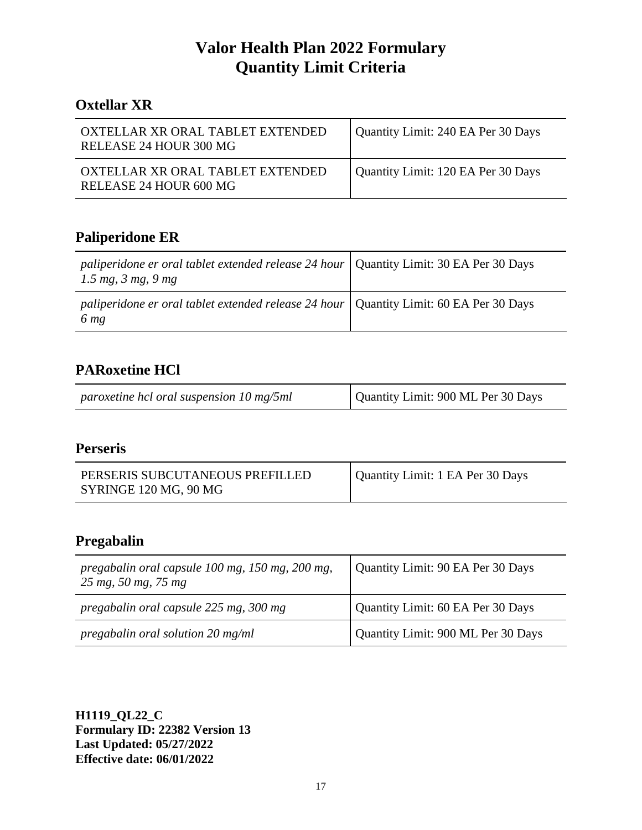## **Oxtellar XR**

| OXTELLAR XR ORAL TABLET EXTENDED<br>RELEASE 24 HOUR 300 MG | Quantity Limit: 240 EA Per 30 Days |
|------------------------------------------------------------|------------------------------------|
| OXTELLAR XR ORAL TABLET EXTENDED<br>RELEASE 24 HOUR 600 MG | Quantity Limit: 120 EA Per 30 Days |

## **Paliperidone ER**

| paliperidone er oral tablet extended release 24 hour   Quantity Limit: 30 EA Per 30 Days<br>$1.5 \, mg, \, 3 \, mg, \, 9 \, mg$ |  |
|---------------------------------------------------------------------------------------------------------------------------------|--|
| paliperidone er oral tablet extended release 24 hour   Quantity Limit: 60 EA Per 30 Days<br>6 <sub>mg</sub>                     |  |

## **PARoxetine HCl**

| paroxetine hcl oral suspension 10 mg/5ml | Quantity Limit: 900 ML Per 30 Days |
|------------------------------------------|------------------------------------|
|                                          |                                    |

## **Perseris**

| PERSERIS SUBCUTANEOUS PREFILLED | Quantity Limit: 1 EA Per 30 Days |
|---------------------------------|----------------------------------|
| SYRINGE 120 MG, 90 MG           |                                  |

### **Pregabalin**

| pregabalin oral capsule 100 mg, 150 mg, 200 mg,<br>$25 \, mg, 50 \, mg, 75 \, mg$ | Quantity Limit: 90 EA Per 30 Days  |
|-----------------------------------------------------------------------------------|------------------------------------|
| pregabalin oral capsule 225 mg, 300 mg                                            | Quantity Limit: 60 EA Per 30 Days  |
| pregabalin oral solution 20 mg/ml                                                 | Quantity Limit: 900 ML Per 30 Days |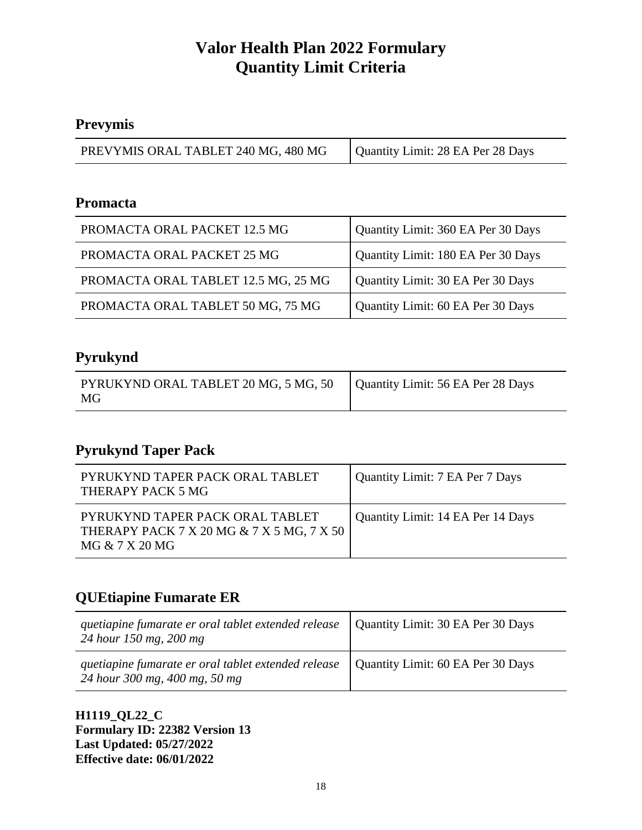## **Prevymis**

| PREVYMIS ORAL TABLET 240 MG, 480 MG | Quantity Limit: 28 EA Per 28 Days |
|-------------------------------------|-----------------------------------|
|-------------------------------------|-----------------------------------|

#### **Promacta**

| PROMACTA ORAL PACKET 12.5 MG        | Quantity Limit: 360 EA Per 30 Days |
|-------------------------------------|------------------------------------|
| PROMACTA ORAL PACKET 25 MG          | Quantity Limit: 180 EA Per 30 Days |
| PROMACTA ORAL TABLET 12.5 MG, 25 MG | Quantity Limit: 30 EA Per 30 Days  |
| PROMACTA ORAL TABLET 50 MG, 75 MG   | Quantity Limit: 60 EA Per 30 Days  |

## **Pyrukynd**

| PYRUKYND ORAL TABLET 20 MG, 5 MG, 50   Quantity Limit: 56 EA Per 28 Days<br>MG |  |
|--------------------------------------------------------------------------------|--|

## **Pyrukynd Taper Pack**

| PYRUKYND TAPER PACK ORAL TABLET<br>THERAPY PACK 5 MG                                           | Quantity Limit: 7 EA Per 7 Days   |
|------------------------------------------------------------------------------------------------|-----------------------------------|
| PYRUKYND TAPER PACK ORAL TABLET<br>THERAPY PACK 7 X 20 MG & 7 X 5 MG, 7 X 50<br>MG & 7 X 20 MG | Quantity Limit: 14 EA Per 14 Days |

## **QUEtiapine Fumarate ER**

| quetiapine fumarate er oral tablet extended release<br>24 hour 150 mg, 200 mg        | Quantity Limit: 30 EA Per 30 Days |
|--------------------------------------------------------------------------------------|-----------------------------------|
| quetiapine fumarate er oral tablet extended release<br>24 hour 300 mg, 400 mg, 50 mg | Quantity Limit: 60 EA Per 30 Days |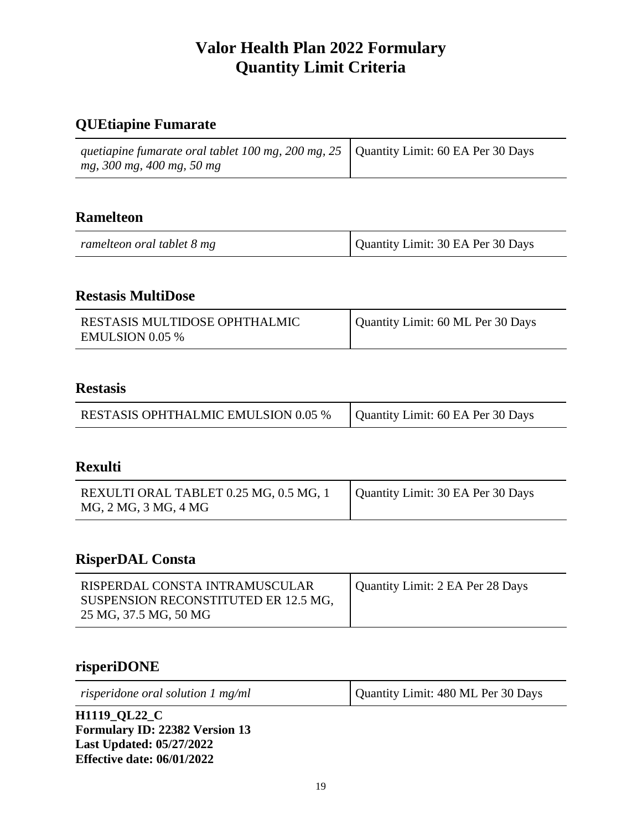## **QUEtiapine Fumarate**

| quetiapine fumarate oral tablet 100 mg, 200 mg, 25   Quantity Limit: 60 EA Per 30 Days |  |
|----------------------------------------------------------------------------------------|--|
| mg, 300 mg, 400 mg, 50 mg                                                              |  |

## **Ramelteon**

| ramelteon oral tablet 8 mg | Quantity Limit: 30 EA Per 30 Days |
|----------------------------|-----------------------------------|
|----------------------------|-----------------------------------|

L.

#### **Restasis MultiDose**

| RESTASIS MULTIDOSE OPHTHALMIC<br><b>EMULSION 0.05 %</b> | Quantity Limit: 60 ML Per 30 Days |
|---------------------------------------------------------|-----------------------------------|
|---------------------------------------------------------|-----------------------------------|

#### **Restasis**

| <b>RESTASIS OPHTHALMIC EMULSION 0.05 %</b> | Quantity Limit: 60 EA Per 30 Days |
|--------------------------------------------|-----------------------------------|
|--------------------------------------------|-----------------------------------|

#### **Rexulti**

| REXULTI ORAL TABLET 0.25 MG, 0.5 MG, 1 | Quantity Limit: 30 EA Per 30 Days |
|----------------------------------------|-----------------------------------|
| MG, 2 MG, 3 MG, 4 MG                   |                                   |

#### **RisperDAL Consta**

#### **risperiDONE**

| risperidone oral solution $1 \text{ mg/ml}$                                             | Quantity Limit: 480 ML Per 30 Days |
|-----------------------------------------------------------------------------------------|------------------------------------|
| <b>H1119_QL22_C</b><br>$E_{\text{current}}$ $\mathbf{ID}$ , 22202 $V_{\text{error}}$ 12 |                                    |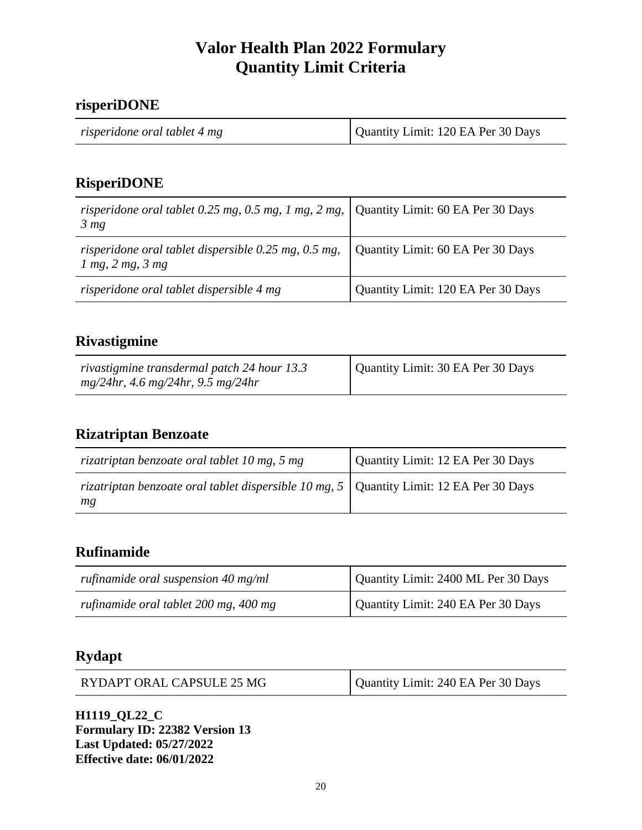#### **risperiDONE**

## **RisperiDONE**

| risperidone oral tablet 0.25 mg, 0.5 mg, 1 mg, 2 mg, $\vert$ Quantity Limit: 60 EA Per 30 Days<br>3 <sub>mg</sub> |                                    |
|-------------------------------------------------------------------------------------------------------------------|------------------------------------|
| risperidone oral tablet dispersible 0.25 mg, 0.5 mg, $\vert$<br>$1$ mg, $2$ mg, $3$ mg                            | Quantity Limit: 60 EA Per 30 Days  |
| risperidone oral tablet dispersible 4 mg                                                                          | Quantity Limit: 120 EA Per 30 Days |

### **Rivastigmine**

| rivastigmine transdermal patch 24 hour 13.3 | Quantity Limit: 30 EA Per 30 Days |
|---------------------------------------------|-----------------------------------|
| $mg/24hr$ , 4.6 mg/24hr, 9.5 mg/24hr        |                                   |

#### **Rizatriptan Benzoate**

| rizatriptan benzoate oral tablet 10 mg, 5 mg                                                         | Quantity Limit: 12 EA Per 30 Days |
|------------------------------------------------------------------------------------------------------|-----------------------------------|
| rizatriptan benzoate oral tablet dispersible 10 mg, $5 \mid$ Quantity Limit: 12 EA Per 30 Days<br>mg |                                   |

### **Rufinamide**

| rufinamide oral suspension 40 mg/ml   | Quantity Limit: 2400 ML Per 30 Days |
|---------------------------------------|-------------------------------------|
| rufinamide oral tablet 200 mg, 400 mg | Quantity Limit: 240 EA Per 30 Days  |

## **Rydapt**

| RYDAPT ORAL CAPSULE 25 MG | Quantity Limit: 240 EA Per 30 Days |
|---------------------------|------------------------------------|
|---------------------------|------------------------------------|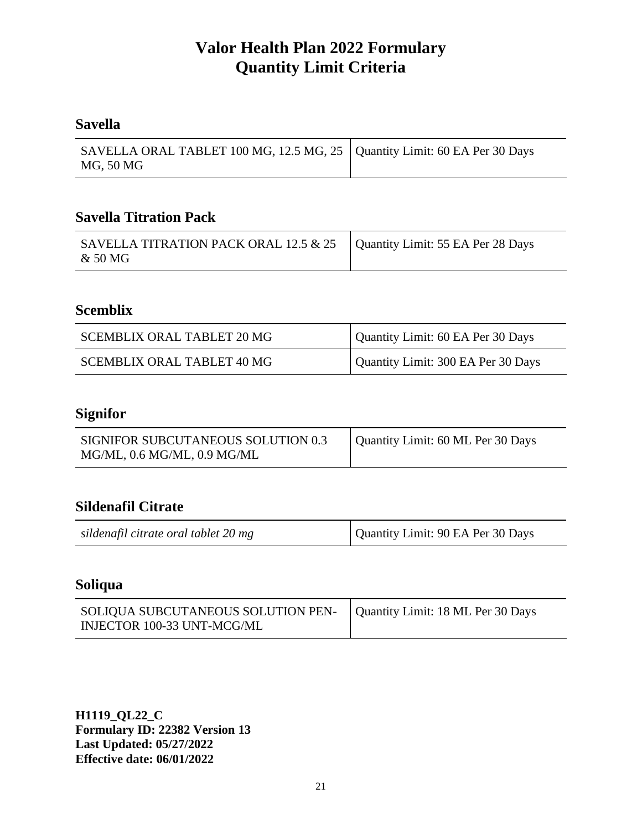### **Savella**

| SAVELLA ORAL TABLET 100 MG, 12.5 MG, 25   Quantity Limit: 60 EA Per 30 Days |  |
|-----------------------------------------------------------------------------|--|
| MG, 50 MG                                                                   |  |

## **Savella Titration Pack**

| SAVELLA TITRATION PACK ORAL 12.5 & 25   Quantity Limit: 55 EA Per 28 Days<br>& 50 MG |  |
|--------------------------------------------------------------------------------------|--|
|--------------------------------------------------------------------------------------|--|

## **Scemblix**

| <b>SCEMBLIX ORAL TABLET 20 MG</b> | Quantity Limit: 60 EA Per 30 Days  |
|-----------------------------------|------------------------------------|
| SCEMBLIX ORAL TABLET 40 MG        | Quantity Limit: 300 EA Per 30 Days |

## **Signifor**

| SIGNIFOR SUBCUTANEOUS SOLUTION 0.3 | Quantity Limit: 60 ML Per 30 Days |
|------------------------------------|-----------------------------------|
| MG/ML, 0.6 MG/ML, 0.9 MG/ML        |                                   |

## **Sildenafil Citrate**

| sildenafil citrate oral tablet 20 mg | Quantity Limit: 90 EA Per 30 Days |
|--------------------------------------|-----------------------------------|

#### **Soliqua**

| SOLIQUA SUBCUTANEOUS SOLUTION PEN- Quantity Limit: 18 ML Per 30 Days |  |
|----------------------------------------------------------------------|--|
| INJECTOR 100-33 UNT-MCG/ML                                           |  |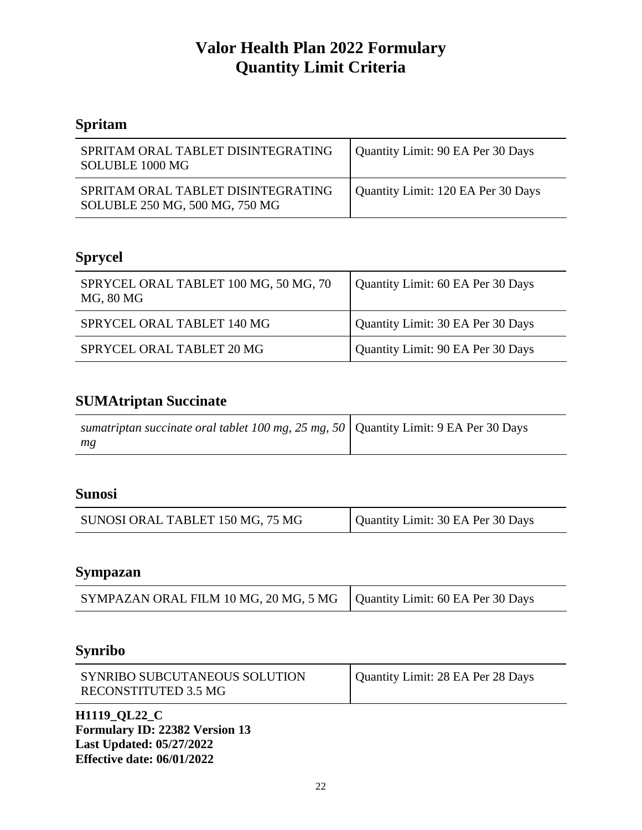# **Spritam**

| SPRITAM ORAL TABLET DISINTEGRATING<br>SOLUBLE 1000 MG                | Quantity Limit: 90 EA Per 30 Days  |
|----------------------------------------------------------------------|------------------------------------|
| SPRITAM ORAL TABLET DISINTEGRATING<br>SOLUBLE 250 MG, 500 MG, 750 MG | Quantity Limit: 120 EA Per 30 Days |

## **Sprycel**

| SPRYCEL ORAL TABLET 100 MG, 50 MG, 70<br>MG, 80 MG | Quantity Limit: 60 EA Per 30 Days |
|----------------------------------------------------|-----------------------------------|
| SPRYCEL ORAL TABLET 140 MG                         | Quantity Limit: 30 EA Per 30 Days |
| SPRYCEL ORAL TABLET 20 MG                          | Quantity Limit: 90 EA Per 30 Days |

## **SUMAtriptan Succinate**

| sumatriptan succinate oral tablet 100 mg, 25 mg, 50   Quantity Limit: 9 EA Per 30 Days |  |
|----------------------------------------------------------------------------------------|--|
| mg                                                                                     |  |

## **Sunosi**

## **Sympazan**

| SYMPAZAN ORAL FILM 10 MG, 20 MG, 5 MG   Quantity Limit: 60 EA Per 30 Days |
|---------------------------------------------------------------------------|
|---------------------------------------------------------------------------|

## **Synribo**

| SYNRIBO SUBCUTANEOUS SOLUTION | Quantity Limit: 28 EA Per 28 Days |
|-------------------------------|-----------------------------------|
| RECONSTITUTED 3.5 MG          |                                   |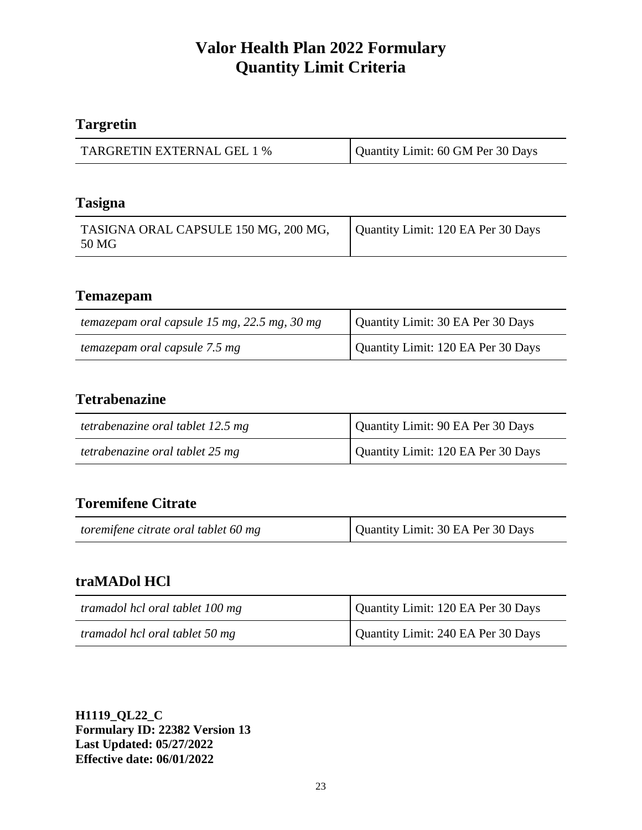## **Targretin**

| <b>TARGRETIN EXTERNAL GEL 1 %</b> | Quantity Limit: 60 GM Per 30 Days |
|-----------------------------------|-----------------------------------|

#### **Tasigna**

| TASIGNA ORAL CAPSULE 150 MG, 200 MG,<br>50 MG | Quantity Limit: 120 EA Per 30 Days |
|-----------------------------------------------|------------------------------------|
|                                               |                                    |

### **Temazepam**

| temazepam oral capsule 15 mg, $22.5$ mg, $30$ mg | Quantity Limit: 30 EA Per 30 Days  |
|--------------------------------------------------|------------------------------------|
| temazepam oral capsule 7.5 mg                    | Quantity Limit: 120 EA Per 30 Days |

#### **Tetrabenazine**

| tetrabenazine oral tablet 12.5 mg | Quantity Limit: 90 EA Per 30 Days  |
|-----------------------------------|------------------------------------|
| tetrabenazine oral tablet 25 mg   | Quantity Limit: 120 EA Per 30 Days |

## **Toremifene Citrate**

| toremifene citrate oral tablet 60 mg | Quantity Limit: 30 EA Per 30 Days |
|--------------------------------------|-----------------------------------|
|--------------------------------------|-----------------------------------|

## **traMADol HCl**

| tramadol hcl oral tablet 100 mg | Quantity Limit: 120 EA Per 30 Days |
|---------------------------------|------------------------------------|
| tramadol hcl oral tablet 50 mg  | Quantity Limit: 240 EA Per 30 Days |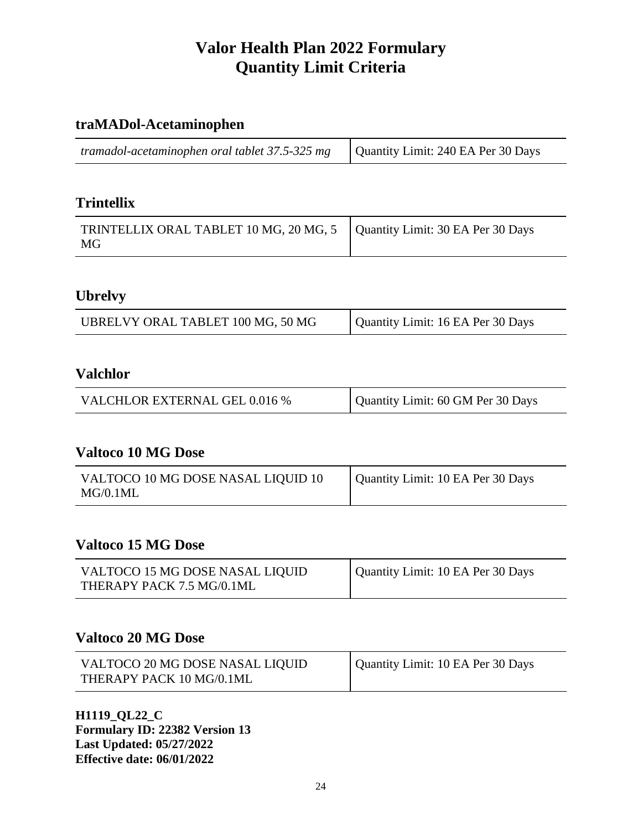## **traMADol-Acetaminophen**

| <i>tramadol-acetaminophen oral tablet 37.5-325 mg</i> $\vert$ Quantity Limit: 240 EA Per 30 Days |  |
|--------------------------------------------------------------------------------------------------|--|
|--------------------------------------------------------------------------------------------------|--|

#### **Trintellix**

| TRINTELLIX ORAL TABLET 10 MG, 20 MG, 5   Quantity Limit: 30 EA Per 30 Days<br>MG |  |
|----------------------------------------------------------------------------------|--|
|----------------------------------------------------------------------------------|--|

#### **Ubrelvy**

| UBRELVY ORAL TABLET 100 MG, 50 MG | Quantity Limit: 16 EA Per 30 Days |
|-----------------------------------|-----------------------------------|
|-----------------------------------|-----------------------------------|

#### **Valchlor**

| <b>VALCHLOR EXTERNAL GEL 0.016 %</b> | Quantity Limit: 60 GM Per 30 Days |
|--------------------------------------|-----------------------------------|

### **Valtoco 10 MG Dose**

| VALTOCO 10 MG DOSE NASAL LIQUID 10 | Quantity Limit: 10 EA Per 30 Days |
|------------------------------------|-----------------------------------|
| MG/0.1ML                           |                                   |

### **Valtoco 15 MG Dose**

| VALTOCO 15 MG DOSE NASAL LIQUID | Quantity Limit: 10 EA Per 30 Days |
|---------------------------------|-----------------------------------|
| THERAPY PACK 7.5 MG/0.1ML       |                                   |

#### **Valtoco 20 MG Dose**

| VALTOCO 20 MG DOSE NASAL LIQUID | Quantity Limit: 10 EA Per 30 Days |
|---------------------------------|-----------------------------------|
| THERAPY PACK 10 MG/0.1ML        |                                   |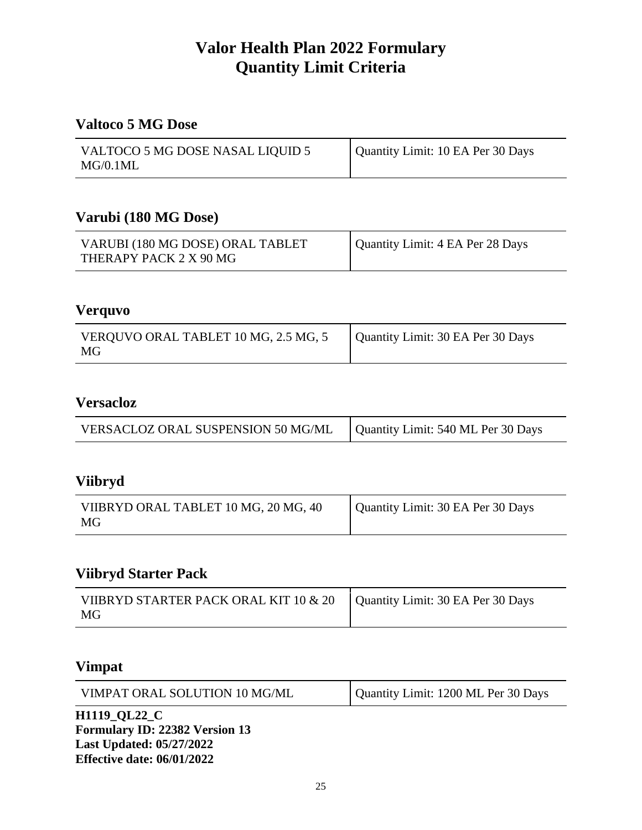### **Valtoco 5 MG Dose**

| VALTOCO 5 MG DOSE NASAL LIQUID 5 | Quantity Limit: 10 EA Per 30 Days |
|----------------------------------|-----------------------------------|
| MG/0.1ML                         |                                   |

#### **Varubi (180 MG Dose)**

| VARUBI (180 MG DOSE) ORAL TABLET | Quantity Limit: 4 EA Per 28 Days |
|----------------------------------|----------------------------------|
| THERAPY PACK 2 X 90 MG           |                                  |

### **Verquvo**

| VERQUVO ORAL TABLET 10 MG, 2.5 MG, 5<br>MG | Quantity Limit: 30 EA Per 30 Days |
|--------------------------------------------|-----------------------------------|

## **Versacloz**

|  | VERSACLOZ ORAL SUSPENSION 50 MG/ML | Quantity Limit: 540 ML Per 30 Days |
|--|------------------------------------|------------------------------------|
|--|------------------------------------|------------------------------------|

#### **Viibryd**

| VIIBRYD ORAL TABLET 10 MG, 20 MG, 40 | Quantity Limit: 30 EA Per 30 Days |
|--------------------------------------|-----------------------------------|
| MG                                   |                                   |

## **Viibryd Starter Pack**

| VIIBRYD STARTER PACK ORAL KIT 10 & 20<br>MG | Quantity Limit: 30 EA Per 30 Days |
|---------------------------------------------|-----------------------------------|
|                                             |                                   |

### **Vimpat**

| $TT1110$ at as $\alpha$       |                                     |
|-------------------------------|-------------------------------------|
| VIMPAT ORAL SOLUTION 10 MG/ML | Quantity Limit: 1200 ML Per 30 Days |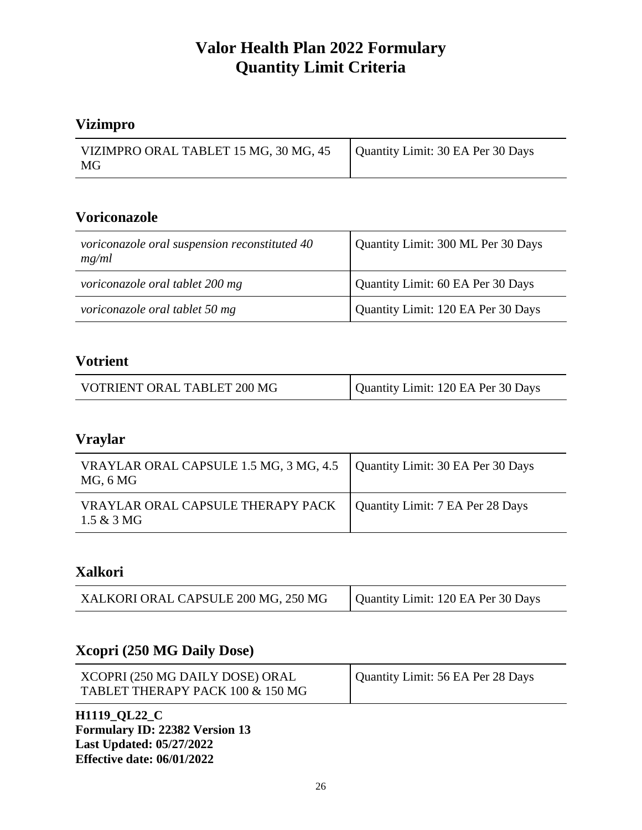## **Vizimpro**

| VIZIMPRO ORAL TABLET 15 MG, 30 MG, 45   Quantity Limit: 30 EA Per 30 Days |  |
|---------------------------------------------------------------------------|--|
| MG                                                                        |  |

### **Voriconazole**

| voriconazole oral suspension reconstituted 40<br>mg/ml | Quantity Limit: 300 ML Per 30 Days |
|--------------------------------------------------------|------------------------------------|
| voriconazole oral tablet 200 mg                        | Quantity Limit: 60 EA Per 30 Days  |
| voriconazole oral tablet 50 mg                         | Quantity Limit: 120 EA Per 30 Days |

#### **Votrient**

| VOTRIENT ORAL TABLET 200 MG | Quantity Limit: 120 EA Per 30 Days |
|-----------------------------|------------------------------------|
|-----------------------------|------------------------------------|

#### **Vraylar**

| VRAYLAR ORAL CAPSULE 1.5 MG, 3 MG, 4.5   Quantity Limit: 30 EA Per 30 Days<br>MG, 6 MG |                                  |
|----------------------------------------------------------------------------------------|----------------------------------|
| VRAYLAR ORAL CAPSULE THERAPY PACK<br>$1.5 & 3 M$ G                                     | Quantity Limit: 7 EA Per 28 Days |

#### **Xalkori**

| XALKORI ORAL CAPSULE 200 MG, 250 MG | Quantity Limit: 120 EA Per 30 Days |
|-------------------------------------|------------------------------------|
|-------------------------------------|------------------------------------|

#### **Xcopri (250 MG Daily Dose)**

| XCOPRI (250 MG DAILY DOSE) ORAL  | Quantity Limit: 56 EA Per 28 Days |
|----------------------------------|-----------------------------------|
| TABLET THERAPY PACK 100 & 150 MG |                                   |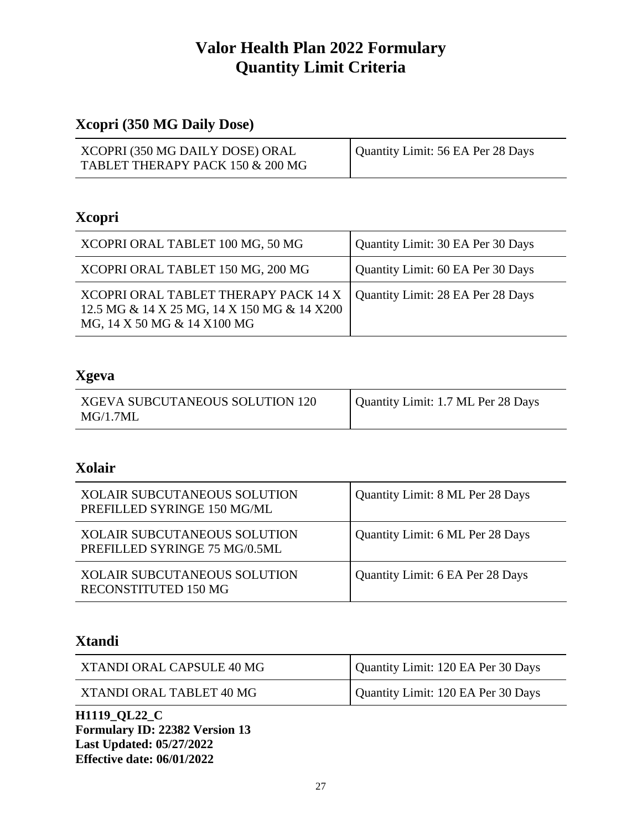## **Xcopri (350 MG Daily Dose)**

| XCOPRI (350 MG DAILY DOSE) ORAL<br>TABLET THERAPY PACK 150 & 200 MG | Quantity Limit: 56 EA Per 28 Days |
|---------------------------------------------------------------------|-----------------------------------|

## **Xcopri**

| XCOPRI ORAL TABLET 100 MG, 50 MG                                                                                   | Quantity Limit: 30 EA Per 30 Days |
|--------------------------------------------------------------------------------------------------------------------|-----------------------------------|
| XCOPRI ORAL TABLET 150 MG, 200 MG                                                                                  | Quantity Limit: 60 EA Per 30 Days |
| XCOPRI ORAL TABLET THERAPY PACK 14 X<br>12.5 MG & 14 X 25 MG, 14 X 150 MG & 14 X200<br>MG, 14 X 50 MG & 14 X100 MG | Quantity Limit: 28 EA Per 28 Days |

### **Xgeva**

| XGEVA SUBCUTANEOUS SOLUTION 120 | Quantity Limit: 1.7 ML Per 28 Days |
|---------------------------------|------------------------------------|
| MG/1.7ML                        |                                    |

### **Xolair**

| <b>XOLAIR SUBCUTANEOUS SOLUTION</b><br>PREFILLED SYRINGE 150 MG/ML   | Quantity Limit: 8 ML Per 28 Days |
|----------------------------------------------------------------------|----------------------------------|
| <b>XOLAIR SUBCUTANEOUS SOLUTION</b><br>PREFILLED SYRINGE 75 MG/0.5ML | Quantity Limit: 6 ML Per 28 Days |
| <b>XOLAIR SUBCUTANEOUS SOLUTION</b><br><b>RECONSTITUTED 150 MG</b>   | Quantity Limit: 6 EA Per 28 Days |

### **Xtandi**

| XTANDI ORAL CAPSULE 40 MG | Quantity Limit: 120 EA Per 30 Days |
|---------------------------|------------------------------------|
| XTANDI ORAL TABLET 40 MG  | Quantity Limit: 120 EA Per 30 Days |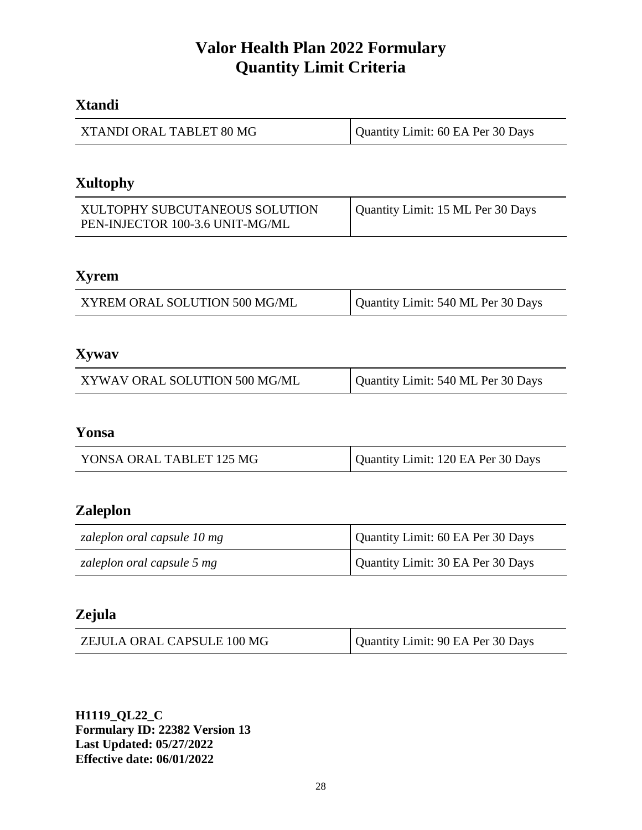### **Xtandi**

| XTANDI ORAL TABLET 80 MG | Quantity Limit: 60 EA Per 30 Days |
|--------------------------|-----------------------------------|
|--------------------------|-----------------------------------|

### **Xultophy**

| XULTOPHY SUBCUTANEOUS SOLUTION  | Quantity Limit: 15 ML Per 30 Days |
|---------------------------------|-----------------------------------|
| PEN-INJECTOR 100-3.6 UNIT-MG/ML |                                   |

## **Xyrem**

| XYREM ORAL SOLUTION 500 MG/ML | Quantity Limit: 540 ML Per 30 Days |
|-------------------------------|------------------------------------|
|-------------------------------|------------------------------------|

### **Xywav**

| Quantity Limit: 540 ML Per 30 Days<br>XYWAV ORAL SOLUTION 500 MG/ML |
|---------------------------------------------------------------------|
|---------------------------------------------------------------------|

#### **Yonsa**

## **Zaleplon**

| zaleplon oral capsule 10 mg | Quantity Limit: 60 EA Per 30 Days |
|-----------------------------|-----------------------------------|
| zaleplon oral capsule 5 mg  | Quantity Limit: 30 EA Per 30 Days |

## **Zejula**

| ZEJULA ORAL CAPSULE 100 MG | Quantity Limit: 90 EA Per 30 Days |
|----------------------------|-----------------------------------|
|----------------------------|-----------------------------------|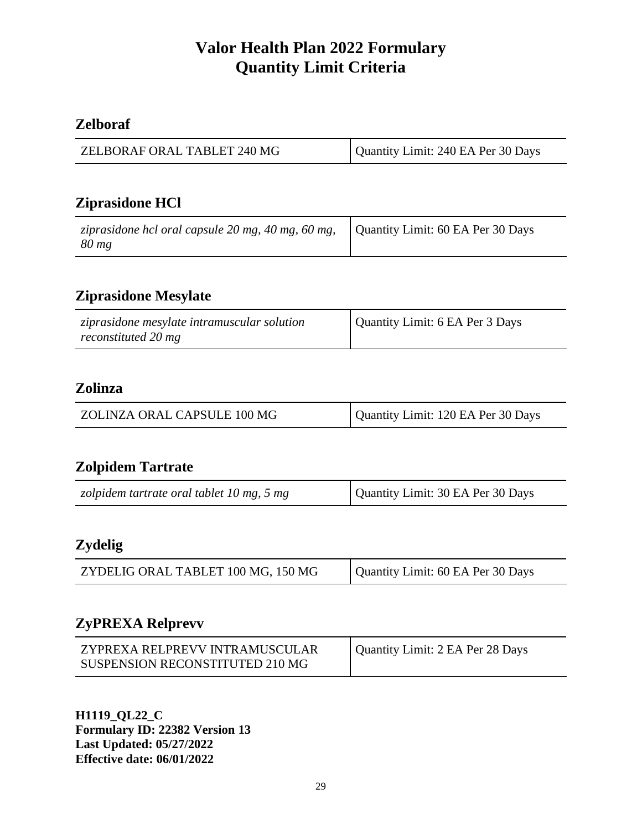## **Zelboraf**

## **Ziprasidone HCl**

| ziprasidone hcl oral capsule 20 mg, 40 mg, 60 mg, $\vert$ Quantity Limit: 60 EA Per 30 Days<br>$80 \, mg$ |  |
|-----------------------------------------------------------------------------------------------------------|--|
|-----------------------------------------------------------------------------------------------------------|--|

## **Ziprasidone Mesylate**

| ziprasidone mesylate intramuscular solution<br>reconstituted 20 mg | Quantity Limit: 6 EA Per 3 Days |
|--------------------------------------------------------------------|---------------------------------|
|--------------------------------------------------------------------|---------------------------------|

### **Zolinza**

| Quantity Limit: 120 EA Per 30 Days<br>ZOLINZA ORAL CAPSULE 100 MG |  |
|-------------------------------------------------------------------|--|
|-------------------------------------------------------------------|--|

## **Zolpidem Tartrate**

| zolpidem tartrate oral tablet 10 mg, 5 mg | Quantity Limit: 30 EA Per 30 Days |
|-------------------------------------------|-----------------------------------|
|-------------------------------------------|-----------------------------------|

### **Zydelig**

## **ZyPREXA Relprevv**

| ZYPREXA RELPREVV INTRAMUSCULAR  | Quantity Limit: 2 EA Per 28 Days |
|---------------------------------|----------------------------------|
| SUSPENSION RECONSTITUTED 210 MG |                                  |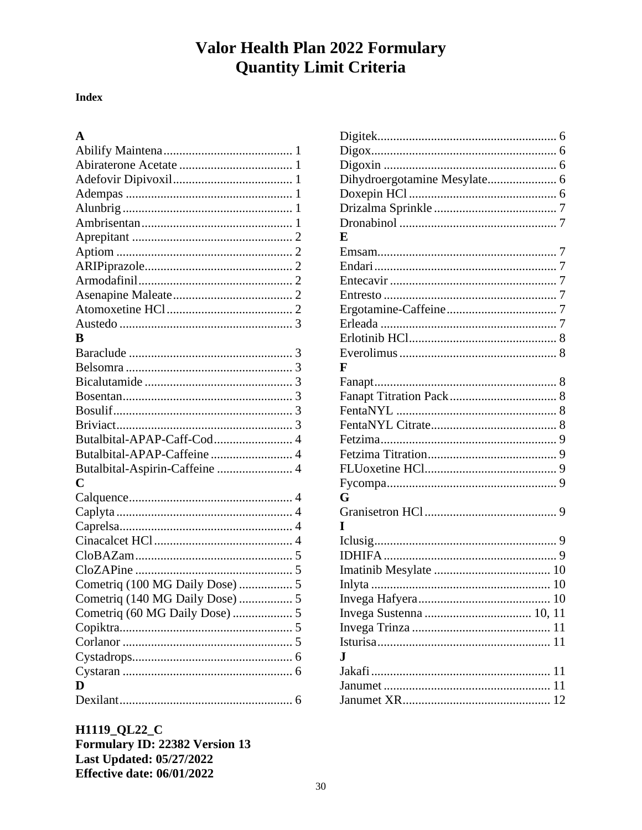#### **Index**

#### $\mathbf{A}$

| B                               |  |
|---------------------------------|--|
|                                 |  |
|                                 |  |
|                                 |  |
|                                 |  |
|                                 |  |
|                                 |  |
| Butalbital-APAP-Caff-Cod 4      |  |
| Butalbital-APAP-Caffeine 4      |  |
| Butalbital-Aspirin-Caffeine  4  |  |
| $\overline{C}$                  |  |
|                                 |  |
|                                 |  |
|                                 |  |
|                                 |  |
|                                 |  |
|                                 |  |
| Cometriq (100 MG Daily Dose)  5 |  |
|                                 |  |
| Cometriq (60 MG Daily Dose)  5  |  |
|                                 |  |
|                                 |  |
|                                 |  |
|                                 |  |
| D                               |  |
|                                 |  |

| Dihydroergotamine Mesylate 6 |  |
|------------------------------|--|
|                              |  |
|                              |  |
|                              |  |
| E                            |  |
|                              |  |
|                              |  |
|                              |  |
|                              |  |
|                              |  |
|                              |  |
|                              |  |
|                              |  |
| F                            |  |
|                              |  |
|                              |  |
|                              |  |
|                              |  |
|                              |  |
|                              |  |
|                              |  |
|                              |  |
| G                            |  |
|                              |  |
| T                            |  |
|                              |  |
|                              |  |
|                              |  |
|                              |  |
|                              |  |
|                              |  |
|                              |  |
|                              |  |
| J.                           |  |
|                              |  |
|                              |  |
|                              |  |
|                              |  |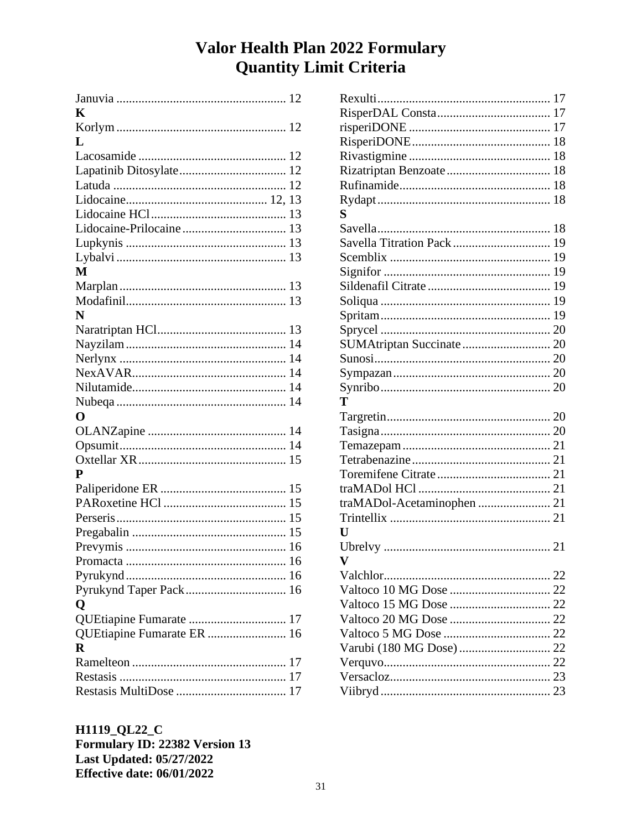| K<br>L<br>M<br>N           |
|----------------------------|
|                            |
|                            |
|                            |
|                            |
|                            |
|                            |
|                            |
|                            |
|                            |
|                            |
|                            |
|                            |
|                            |
|                            |
|                            |
|                            |
|                            |
|                            |
|                            |
|                            |
|                            |
| O                          |
|                            |
|                            |
|                            |
| P                          |
|                            |
|                            |
|                            |
|                            |
|                            |
| Promacta<br>$\sim$ 16      |
|                            |
| Pyrukynd Taper Pack 16     |
| Q                          |
| QUEtiapine Fumarate  17    |
| QUEtiapine Fumarate ER  16 |
| $\mathbf R$                |
|                            |
|                            |
|                            |

| S                          |  |
|----------------------------|--|
|                            |  |
| Savella Titration Pack  19 |  |
|                            |  |
|                            |  |
|                            |  |
|                            |  |
|                            |  |
|                            |  |
|                            |  |
|                            |  |
|                            |  |
|                            |  |
| T                          |  |
|                            |  |
|                            |  |
|                            |  |
|                            |  |
|                            |  |
|                            |  |
| traMADol-Acetaminophen  21 |  |
|                            |  |
| $\mathbf{U}$               |  |
|                            |  |
| v                          |  |
|                            |  |
|                            |  |
|                            |  |
|                            |  |
|                            |  |
|                            |  |
|                            |  |
|                            |  |
|                            |  |
|                            |  |